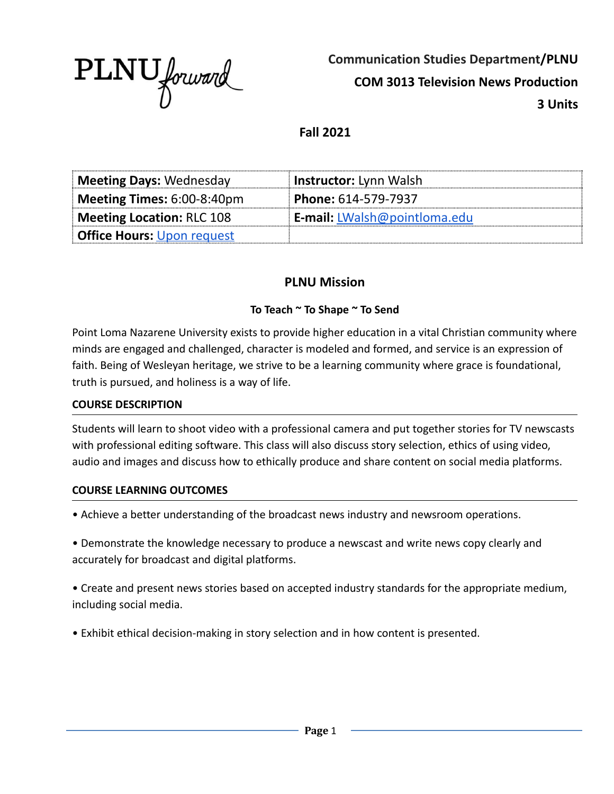

**Communication Studies Department/PLNU COM 3013 Television News Production 3 Units**

**Fall 2021**

| <b>Meeting Days: Wednesday</b>    | <b>Instructor:</b> Lynn Walsh       |
|-----------------------------------|-------------------------------------|
| Meeting Times: $6:00-8:40$ pm     | <b>Phone: 614-579-7937</b>          |
| Meeting Location: RLC 108         | <b>E-mail:</b> LWalsh@pointloma.edu |
| <b>Office Hours: Upon request</b> |                                     |

### **PLNU Mission**

#### **To Teach ~ To Shape ~ To Send**

Point Loma Nazarene University exists to provide higher education in a vital Christian community where minds are engaged and challenged, character is modeled and formed, and service is an expression of faith. Being of Wesleyan heritage, we strive to be a learning community where grace is foundational, truth is pursued, and holiness is a way of life.

#### **COURSE DESCRIPTION**

Students will learn to shoot video with a professional camera and put together stories for TV newscasts with professional editing software. This class will also discuss story selection, ethics of using video, audio and images and discuss how to ethically produce and share content on social media platforms.

#### **COURSE LEARNING OUTCOMES**

• Achieve a better understanding of the broadcast news industry and newsroom operations.

• Demonstrate the knowledge necessary to produce a newscast and write news copy clearly and accurately for broadcast and digital platforms.

• Create and present news stories based on accepted industry standards for the appropriate medium, including social media.

• Exhibit ethical decision-making in story selection and in how content is presented.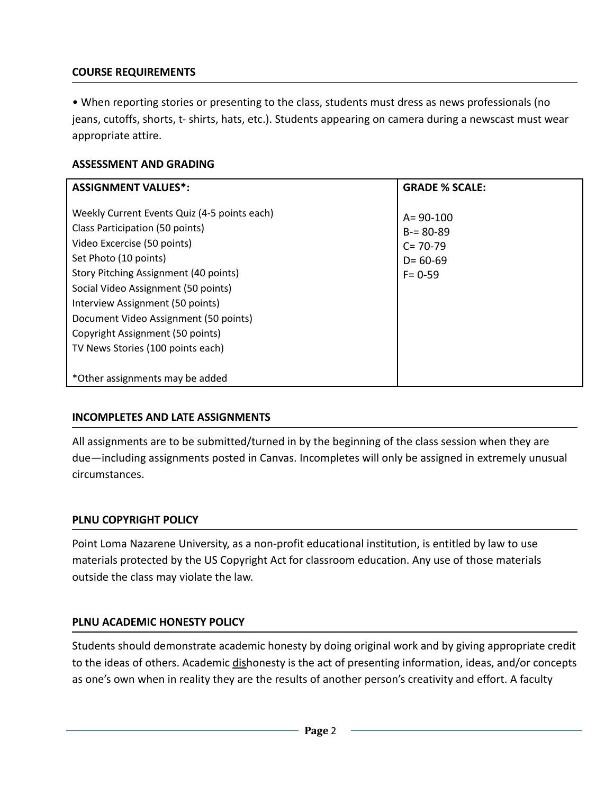### **COURSE REQUIREMENTS**

• When reporting stories or presenting to the class, students must dress as news professionals (no jeans, cutoffs, shorts, t- shirts, hats, etc.). Students appearing on camera during a newscast must wear appropriate attire.

### **ASSESSMENT AND GRADING**

| <b>ASSIGNMENT VALUES*:</b>                                                                                                                                                                                                                                                                                                                                                    | <b>GRADE % SCALE:</b>                                                         |
|-------------------------------------------------------------------------------------------------------------------------------------------------------------------------------------------------------------------------------------------------------------------------------------------------------------------------------------------------------------------------------|-------------------------------------------------------------------------------|
| Weekly Current Events Quiz (4-5 points each)<br>Class Participation (50 points)<br>Video Excercise (50 points)<br>Set Photo (10 points)<br>Story Pitching Assignment (40 points)<br>Social Video Assignment (50 points)<br>Interview Assignment (50 points)<br>Document Video Assignment (50 points)<br>Copyright Assignment (50 points)<br>TV News Stories (100 points each) | $A = 90 - 100$<br>$B = 80 - 89$<br>$C = 70-79$<br>$D = 60 - 69$<br>$F = 0.59$ |
| *Other assignments may be added                                                                                                                                                                                                                                                                                                                                               |                                                                               |

### **INCOMPLETES AND LATE ASSIGNMENTS**

All assignments are to be submitted/turned in by the beginning of the class session when they are due—including assignments posted in Canvas. Incompletes will only be assigned in extremely unusual circumstances.

#### **PLNU COPYRIGHT POLICY**

Point Loma Nazarene University, as a non-profit educational institution, is entitled by law to use materials protected by the US Copyright Act for classroom education. Any use of those materials outside the class may violate the law.

#### **PLNU ACADEMIC HONESTY POLICY**

Students should demonstrate academic honesty by doing original work and by giving appropriate credit to the ideas of others. Academic dishonesty is the act of presenting information, ideas, and/or concepts as one's own when in reality they are the results of another person's creativity and effort. A faculty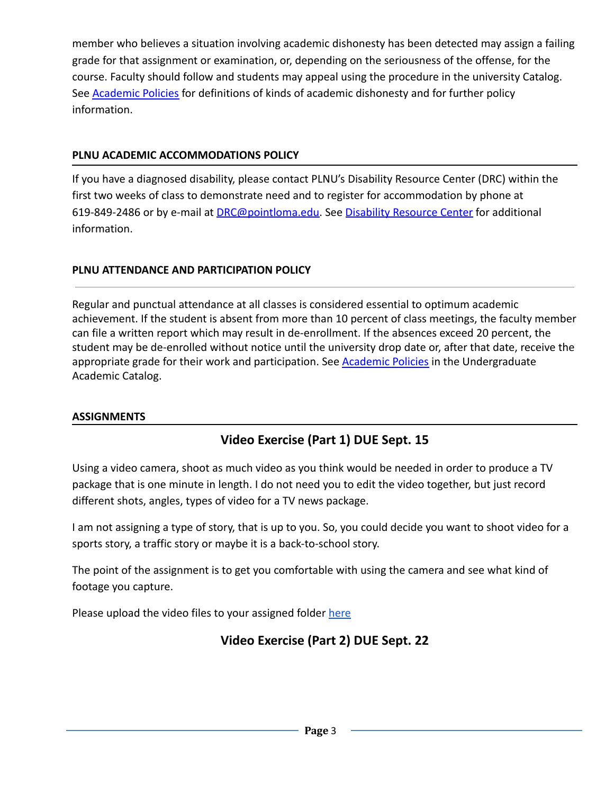member who believes a situation involving academic dishonesty has been detected may assign a failing grade for that assignment or examination, or, depending on the seriousness of the offense, for the course. Faculty should follow and students may appeal using the procedure in the university Catalog. See [Academic Policies](http://catalog.pointloma.edu/content.php?catoid=18&navoid=1278) for definitions of kinds of academic dishonesty and for further policy information.

### **PLNU ACADEMIC ACCOMMODATIONS POLICY**

If you have a diagnosed disability, please contact PLNU's Disability Resource Center (DRC) within the first two weeks of class to demonstrate need and to register for accommodation by phone at 619-849-2486 or by e-mail at [DRC@pointloma.edu.](mailto:DRC@pointloma.edu) See [Disability Resource Center](http://www.pointloma.edu/experience/offices/administrative-offices/academic-advising-office/disability-resource-center) for additional information.

## **PLNU ATTENDANCE AND PARTICIPATION POLICY**

Regular and punctual attendance at all classes is considered essential to optimum academic achievement. If the student is absent from more than 10 percent of class meetings, the faculty member can file a written report which may result in de-enrollment. If the absences exceed 20 percent, the student may be de-enrolled without notice until the university drop date or, after that date, receive the appropriate grade for their work and participation. See [Academic Policies](http://catalog.pointloma.edu/content.php?catoid=18&navoid=1278) in the Undergraduate Academic Catalog.

### **ASSIGNMENTS**

# **Video Exercise (Part 1) DUE Sept. 15**

Using a video camera, shoot as much video as you think would be needed in order to produce a TV package that is one minute in length. I do not need you to edit the video together, but just record different shots, angles, types of video for a TV news package.

I am not assigning a type of story, that is up to you. So, you could decide you want to shoot video for a sports story, a traffic story or maybe it is a back-to-school story.

The point of the assignment is to get you comfortable with using the camera and see what kind of footage you capture.

Please upload the video files to your assigned folder [here](https://drive.google.com/drive/folders/1vLVT7wprQjIieKbapWk9THQFx6K5GfWv?usp=sharing)

# **Video Exercise (Part 2) DUE Sept. 22**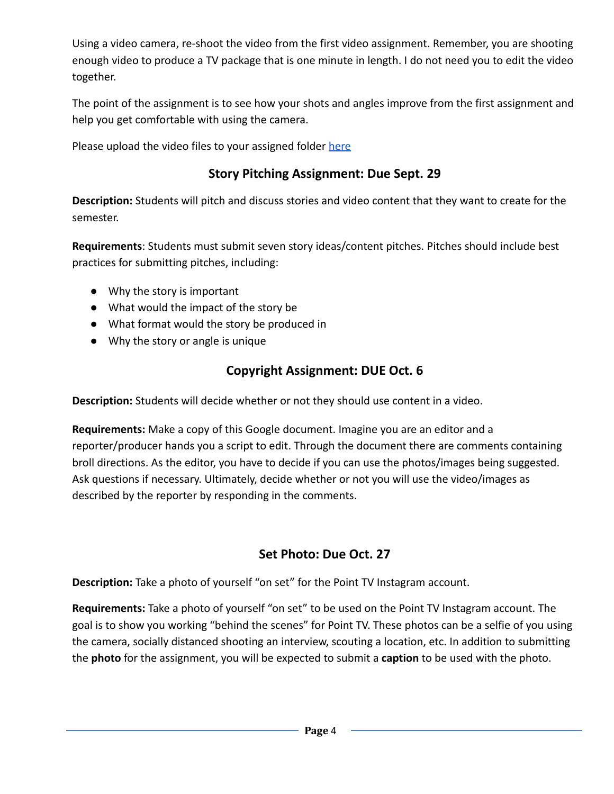Using a video camera, re-shoot the video from the first video assignment. Remember, you are shooting enough video to produce a TV package that is one minute in length. I do not need you to edit the video together.

The point of the assignment is to see how your shots and angles improve from the first assignment and help you get comfortable with using the camera.

Please upload the video files to your assigned folder [here](https://drive.google.com/drive/folders/1vLVT7wprQjIieKbapWk9THQFx6K5GfWv?usp=sharing)

## **Story Pitching Assignment: Due Sept. 29**

**Description:** Students will pitch and discuss stories and video content that they want to create for the semester.

**Requirements**: Students must submit seven story ideas/content pitches. Pitches should include best practices for submitting pitches, including:

- Why the story is important
- What would the impact of the story be
- What format would the story be produced in
- Why the story or angle is unique

## **Copyright Assignment: DUE Oct. 6**

**Description:** Students will decide whether or not they should use content in a video.

**Requirements:** Make a copy of this Google document. Imagine you are an editor and a reporter/producer hands you a script to edit. Through the document there are comments containing broll directions. As the editor, you have to decide if you can use the photos/images being suggested. Ask questions if necessary. Ultimately, decide whether or not you will use the video/images as described by the reporter by responding in the comments.

## **Set Photo: Due Oct. 27**

**Description:** Take a photo of yourself "on set" for the Point TV Instagram account.

**Requirements:** Take a photo of yourself "on set" to be used on the Point TV Instagram account. The goal is to show you working "behind the scenes" for Point TV. These photos can be a selfie of you using the camera, socially distanced shooting an interview, scouting a location, etc. In addition to submitting the **photo** for the assignment, you will be expected to submit a **caption** to be used with the photo.